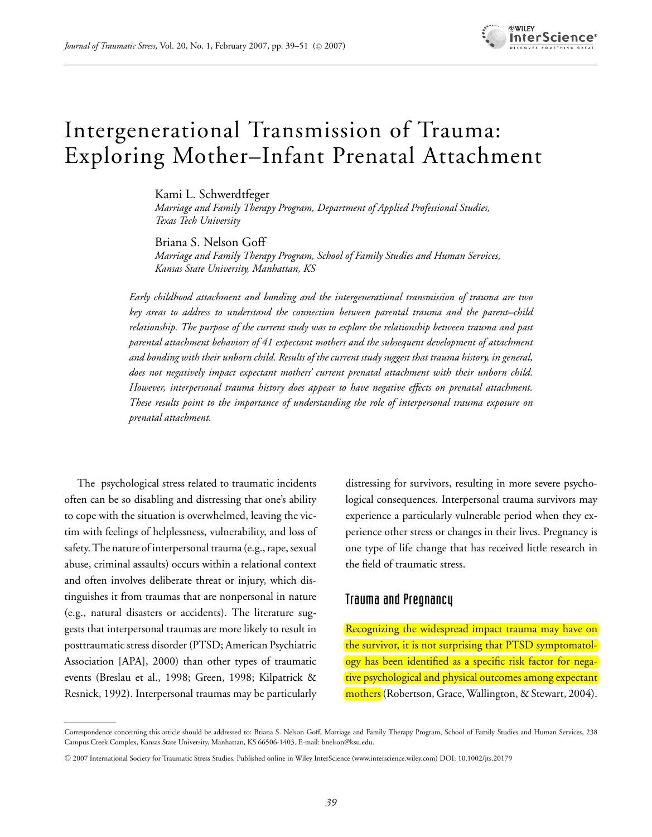

# Intergenerational Transmission of Trauma: Exploring Mother–Infant Prenatal Attachment

Kami L. Schwerdtfeger

*Marriage and Family Therapy Program, Department of Applied Professional Studies, Texas Tech University*

Briana S. Nelson Goff

*Marriage and Family Therapy Program, School of Family Studies and Human Services, Kansas State University, Manhattan, KS*

*Early childhood attachment and bonding and the intergenerational transmission of trauma are two key areas to address to understand the connection between parental trauma and the parent–child relationship. The purpose of the current study was to explore the relationship between trauma and past parental attachment behaviors of 41 expectant mothers and the subsequent development of attachment and bonding with their unborn child. Results of the current study suggest that trauma history, in general, does not negatively impact expectant mothers' current prenatal attachment with their unborn child. However, interpersonal trauma history does appear to have negative effects on prenatal attachment. These results point to the importance of understanding the role of interpersonal trauma exposure on prenatal attachment.*

The psychological stress related to traumatic incidents often can be so disabling and distressing that one's ability to cope with the situation is overwhelmed, leaving the victim with feelings of helplessness, vulnerability, and loss of safety. The nature of interpersonal trauma (e.g., rape, sexual abuse, criminal assaults) occurs within a relational context and often involves deliberate threat or injury, which distinguishes it from traumas that are nonpersonal in nature (e.g., natural disasters or accidents). The literature suggests that interpersonal traumas are more likely to result in posttraumatic stress disorder (PTSD; American Psychiatric Association [APA], 2000) than other types of traumatic events (Breslau et al., 1998; Green, 1998; Kilpatrick & Resnick, 1992). Interpersonal traumas may be particularly

distressing for survivors, resulting in more severe psychological consequences. Interpersonal trauma survivors may experience a particularly vulnerable period when they experience other stress or changes in their lives. Pregnancy is one type of life change that has received little research in the field of traumatic stress.

#### Trauma and Pregnancy

Recognizing the widespread impact trauma may have on the survivor, it is not surprising that PTSD symptomatology has been identified as a specific risk factor for negative psychological and physical outcomes among expectant mothers (Robertson, Grace, Wallington, & Stewart, 2004).

Correspondence concerning this article should be addressed to: Briana S. Nelson Goff, Marriage and Family Therapy Program, School of Family Studies and Human Services, 238 Campus Creek Complex, Kansas State University, Manhattan, KS 66506-1403. E-mail: bnelson@ksu.edu.

<sup>C</sup> 2007 International Society for Traumatic Stress Studies. Published online in Wiley InterScience (www.interscience.wiley.com) DOI: 10.1002/jts.20179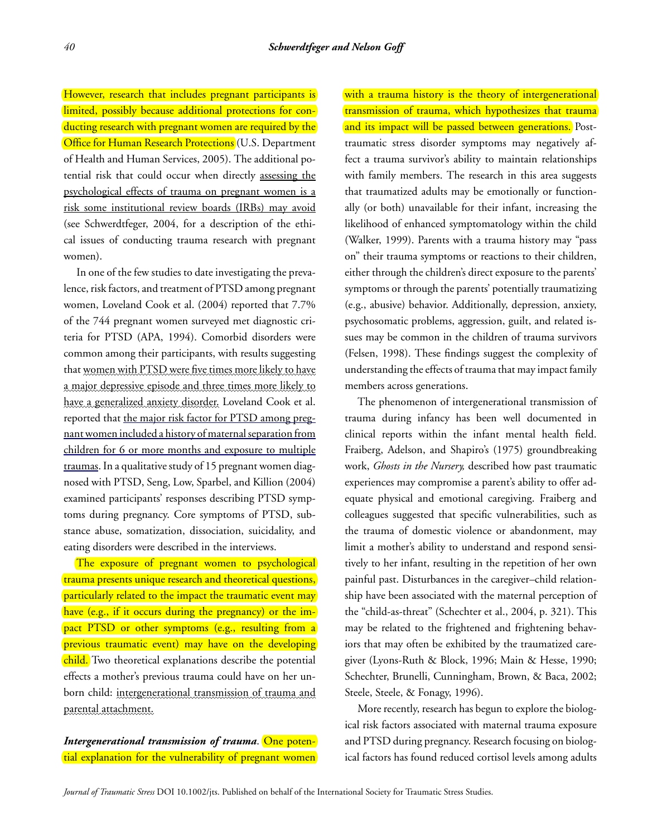However, research that includes pregnant participants is limited, possibly because additional protections for conducting research with pregnant women are required by the Office for Human Research Protections (U.S. Department of Health and Human Services, 2005). The additional potential risk that could occur when directly assessing the psychological effects of trauma on pregnant women is a risk some institutional review boards (IRBs) may avoid (see Schwerdtfeger, 2004, for a description of the ethical issues of conducting trauma research with pregnant women).

In one of the few studies to date investigating the prevalence, risk factors, and treatment of PTSD among pregnant women, Loveland Cook et al. (2004) reported that 7.7% of the 744 pregnant women surveyed met diagnostic criteria for PTSD (APA, 1994). Comorbid disorders were common among their participants, with results suggesting that women with PTSD were five times more likely to have a major depressive episode and three times more likely to have a generalized anxiety disorder. Loveland Cook et al. reported that the major risk factor for PTSD among pregnant women included a history of maternal separation from children for 6 or more months and exposure to multiple traumas. In a qualitative study of 15 pregnant women diagnosed with PTSD, Seng, Low, Sparbel, and Killion (2004) examined participants' responses describing PTSD symptoms during pregnancy. Core symptoms of PTSD, substance abuse, somatization, dissociation, suicidality, and eating disorders were described in the interviews.

The exposure of pregnant women to psychological trauma presents unique research and theoretical questions, particularly related to the impact the traumatic event may have (e.g., if it occurs during the pregnancy) or the impact PTSD or other symptoms (e.g., resulting from a previous traumatic event) may have on the developing child. Two theoretical explanations describe the potential effects a mother's previous trauma could have on her unborn child: intergenerational transmission of trauma and parental attachment.

*Intergenerational transmission of trauma*. One potential explanation for the vulnerability of pregnant women

with a trauma history is the theory of intergenerational transmission of trauma, which hypothesizes that trauma and its impact will be passed between generations. Posttraumatic stress disorder symptoms may negatively affect a trauma survivor's ability to maintain relationships with family members. The research in this area suggests that traumatized adults may be emotionally or functionally (or both) unavailable for their infant, increasing the likelihood of enhanced symptomatology within the child (Walker, 1999). Parents with a trauma history may "pass on" their trauma symptoms or reactions to their children, either through the children's direct exposure to the parents' symptoms or through the parents' potentially traumatizing (e.g., abusive) behavior. Additionally, depression, anxiety, psychosomatic problems, aggression, guilt, and related issues may be common in the children of trauma survivors (Felsen, 1998). These findings suggest the complexity of understanding the effects of trauma that may impact family members across generations.

The phenomenon of intergenerational transmission of trauma during infancy has been well documented in clinical reports within the infant mental health field. Fraiberg, Adelson, and Shapiro's (1975) groundbreaking work, *Ghosts in the Nursery,* described how past traumatic experiences may compromise a parent's ability to offer adequate physical and emotional caregiving. Fraiberg and colleagues suggested that specific vulnerabilities, such as the trauma of domestic violence or abandonment, may limit a mother's ability to understand and respond sensitively to her infant, resulting in the repetition of her own painful past. Disturbances in the caregiver–child relationship have been associated with the maternal perception of the "child-as-threat" (Schechter et al., 2004, p. 321). This may be related to the frightened and frightening behaviors that may often be exhibited by the traumatized caregiver (Lyons-Ruth & Block, 1996; Main & Hesse, 1990; Schechter, Brunelli, Cunningham, Brown, & Baca, 2002; Steele, Steele, & Fonagy, 1996).

More recently, research has begun to explore the biological risk factors associated with maternal trauma exposure and PTSD during pregnancy. Research focusing on biological factors has found reduced cortisol levels among adults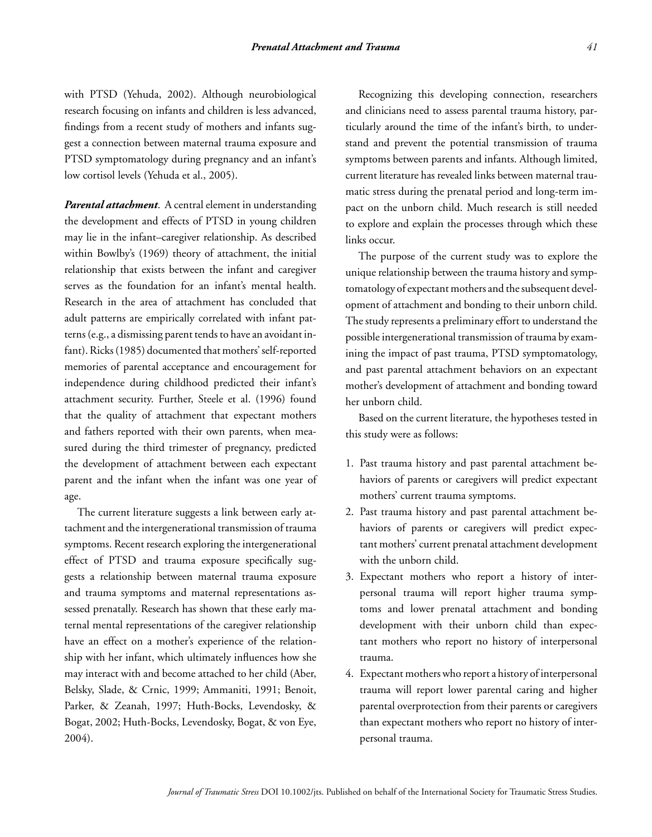with PTSD (Yehuda, 2002). Although neurobiological research focusing on infants and children is less advanced, findings from a recent study of mothers and infants suggest a connection between maternal trauma exposure and PTSD symptomatology during pregnancy and an infant's low cortisol levels (Yehuda et al., 2005).

*Parental attachment*. A central element in understanding the development and effects of PTSD in young children may lie in the infant–caregiver relationship. As described within Bowlby's (1969) theory of attachment, the initial relationship that exists between the infant and caregiver serves as the foundation for an infant's mental health. Research in the area of attachment has concluded that adult patterns are empirically correlated with infant patterns (e.g., a dismissing parent tends to have an avoidant infant). Ricks (1985) documented that mothers' self-reported memories of parental acceptance and encouragement for independence during childhood predicted their infant's attachment security. Further, Steele et al. (1996) found that the quality of attachment that expectant mothers and fathers reported with their own parents, when measured during the third trimester of pregnancy, predicted the development of attachment between each expectant parent and the infant when the infant was one year of age.

The current literature suggests a link between early attachment and the intergenerational transmission of trauma symptoms. Recent research exploring the intergenerational effect of PTSD and trauma exposure specifically suggests a relationship between maternal trauma exposure and trauma symptoms and maternal representations assessed prenatally. Research has shown that these early maternal mental representations of the caregiver relationship have an effect on a mother's experience of the relationship with her infant, which ultimately influences how she may interact with and become attached to her child (Aber, Belsky, Slade, & Crnic, 1999; Ammaniti, 1991; Benoit, Parker, & Zeanah, 1997; Huth-Bocks, Levendosky, & Bogat, 2002; Huth-Bocks, Levendosky, Bogat, & von Eye, 2004).

Recognizing this developing connection, researchers and clinicians need to assess parental trauma history, particularly around the time of the infant's birth, to understand and prevent the potential transmission of trauma symptoms between parents and infants. Although limited, current literature has revealed links between maternal traumatic stress during the prenatal period and long-term impact on the unborn child. Much research is still needed to explore and explain the processes through which these links occur.

The purpose of the current study was to explore the unique relationship between the trauma history and symptomatology of expectant mothers and the subsequent development of attachment and bonding to their unborn child. The study represents a preliminary effort to understand the possible intergenerational transmission of trauma by examining the impact of past trauma, PTSD symptomatology, and past parental attachment behaviors on an expectant mother's development of attachment and bonding toward her unborn child.

Based on the current literature, the hypotheses tested in this study were as follows:

- 1. Past trauma history and past parental attachment behaviors of parents or caregivers will predict expectant mothers' current trauma symptoms.
- 2. Past trauma history and past parental attachment behaviors of parents or caregivers will predict expectant mothers' current prenatal attachment development with the unborn child.
- 3. Expectant mothers who report a history of interpersonal trauma will report higher trauma symptoms and lower prenatal attachment and bonding development with their unborn child than expectant mothers who report no history of interpersonal trauma.
- 4. Expectant mothers who report a history of interpersonal trauma will report lower parental caring and higher parental overprotection from their parents or caregivers than expectant mothers who report no history of interpersonal trauma.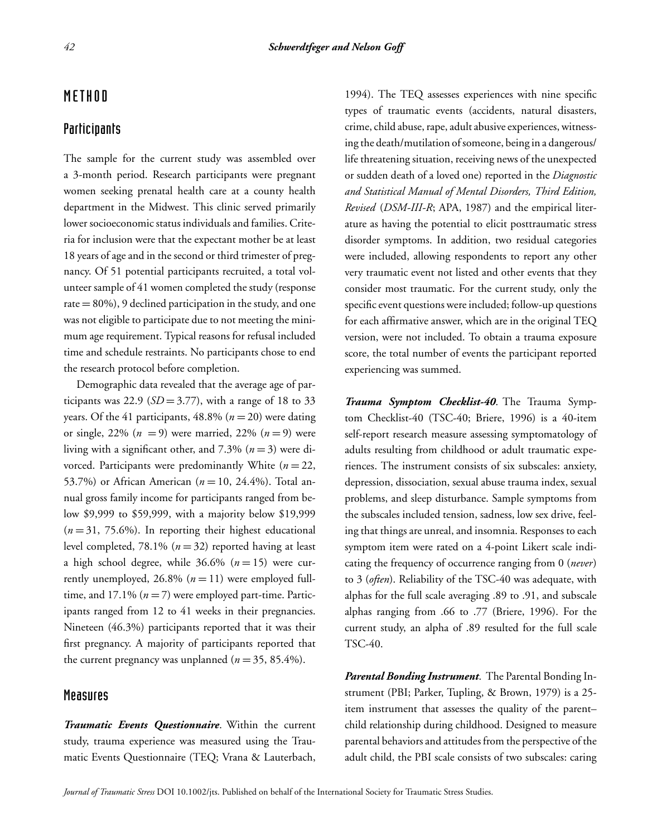## METHOD

#### Participants

The sample for the current study was assembled over a 3-month period. Research participants were pregnant women seeking prenatal health care at a county health department in the Midwest. This clinic served primarily lower socioeconomic status individuals and families. Criteria for inclusion were that the expectant mother be at least 18 years of age and in the second or third trimester of pregnancy. Of 51 potential participants recruited, a total volunteer sample of 41 women completed the study (response rate  $= 80\%$ ), 9 declined participation in the study, and one was not eligible to participate due to not meeting the minimum age requirement. Typical reasons for refusal included time and schedule restraints. No participants chose to end the research protocol before completion.

Demographic data revealed that the average age of participants was 22.9 ( $SD = 3.77$ ), with a range of 18 to 33 years. Of the 41 participants,  $48.8\%$  ( $n = 20$ ) were dating or single, 22%  $(n = 9)$  were married, 22%  $(n = 9)$  were living with a significant other, and 7.3% (*n* = 3) were divorced. Participants were predominantly White  $(n = 22)$ , 53.7%) or African American (*n* = 10, 24.4%). Total annual gross family income for participants ranged from below \$9,999 to \$59,999, with a majority below \$19,999  $(n=31, 75.6\%)$ . In reporting their highest educational level completed, 78.1%  $(n=32)$  reported having at least a high school degree, while  $36.6\%$  ( $n = 15$ ) were currently unemployed,  $26.8\%$  ( $n = 11$ ) were employed fulltime, and  $17.1\%$  ( $n = 7$ ) were employed part-time. Participants ranged from 12 to 41 weeks in their pregnancies. Nineteen (46.3%) participants reported that it was their first pregnancy. A majority of participants reported that the current pregnancy was unplanned  $(n = 35, 85.4\%)$ .

#### Measures

*Traumatic Events Questionnaire*. Within the current study, trauma experience was measured using the Traumatic Events Questionnaire (TEQ; Vrana & Lauterbach,

1994). The TEQ assesses experiences with nine specific types of traumatic events (accidents, natural disasters, crime, child abuse, rape, adult abusive experiences, witnessing the death/mutilation of someone, being in a dangerous/ life threatening situation, receiving news of the unexpected or sudden death of a loved one) reported in the *Diagnostic and Statistical Manual of Mental Disorders, Third Edition, Revised* (*DSM-III-R*; APA, 1987) and the empirical literature as having the potential to elicit posttraumatic stress disorder symptoms. In addition, two residual categories were included, allowing respondents to report any other very traumatic event not listed and other events that they consider most traumatic. For the current study, only the specific event questions were included; follow-up questions for each affirmative answer, which are in the original TEQ version, were not included. To obtain a trauma exposure score, the total number of events the participant reported experiencing was summed.

*Trauma Symptom Checklist-40*. The Trauma Symptom Checklist-40 (TSC-40; Briere, 1996) is a 40-item self-report research measure assessing symptomatology of adults resulting from childhood or adult traumatic experiences. The instrument consists of six subscales: anxiety, depression, dissociation, sexual abuse trauma index, sexual problems, and sleep disturbance. Sample symptoms from the subscales included tension, sadness, low sex drive, feeling that things are unreal, and insomnia. Responses to each symptom item were rated on a 4-point Likert scale indicating the frequency of occurrence ranging from 0 (*never*) to 3 (*often*). Reliability of the TSC-40 was adequate, with alphas for the full scale averaging .89 to .91, and subscale alphas ranging from .66 to .77 (Briere, 1996). For the current study, an alpha of .89 resulted for the full scale TSC-40.

*Parental Bonding Instrument*. The Parental Bonding Instrument (PBI; Parker, Tupling, & Brown, 1979) is a 25 item instrument that assesses the quality of the parent– child relationship during childhood. Designed to measure parental behaviors and attitudes from the perspective of the adult child, the PBI scale consists of two subscales: caring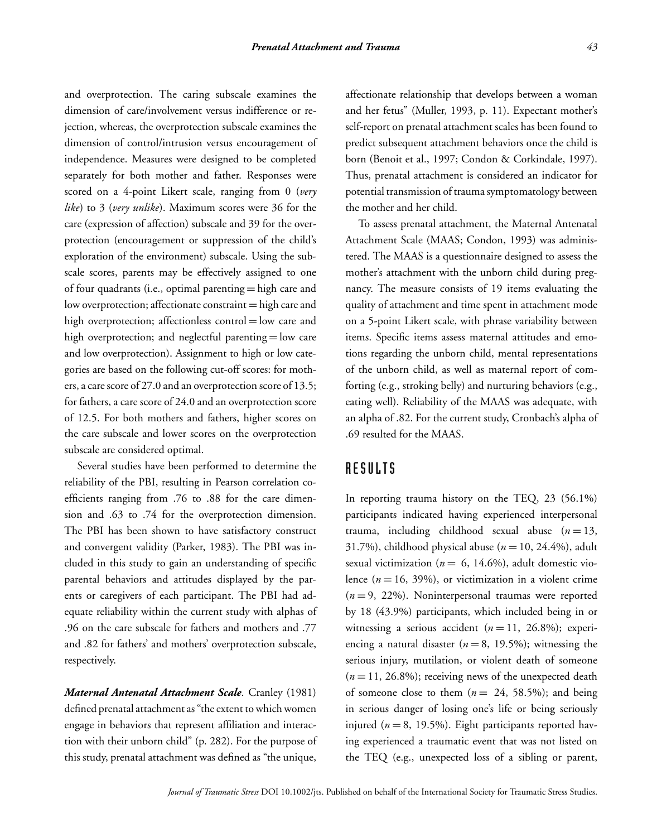and overprotection. The caring subscale examines the dimension of care/involvement versus indifference or rejection, whereas, the overprotection subscale examines the dimension of control/intrusion versus encouragement of independence. Measures were designed to be completed separately for both mother and father. Responses were scored on a 4-point Likert scale, ranging from 0 (*very like*) to 3 (*very unlike*). Maximum scores were 36 for the care (expression of affection) subscale and 39 for the overprotection (encouragement or suppression of the child's exploration of the environment) subscale. Using the subscale scores, parents may be effectively assigned to one of four quadrants (i.e., optimal parenting = high care and low overprotection; affectionate constraint = high care and high overprotection; affectionless control = low care and high overprotection; and neglectful parenting = low care and low overprotection). Assignment to high or low categories are based on the following cut-off scores: for mothers, a care score of 27.0 and an overprotection score of 13.5; for fathers, a care score of 24.0 and an overprotection score of 12.5. For both mothers and fathers, higher scores on the care subscale and lower scores on the overprotection subscale are considered optimal.

Several studies have been performed to determine the reliability of the PBI, resulting in Pearson correlation coefficients ranging from .76 to .88 for the care dimension and .63 to .74 for the overprotection dimension. The PBI has been shown to have satisfactory construct and convergent validity (Parker, 1983). The PBI was included in this study to gain an understanding of specific parental behaviors and attitudes displayed by the parents or caregivers of each participant. The PBI had adequate reliability within the current study with alphas of .96 on the care subscale for fathers and mothers and .77 and .82 for fathers' and mothers' overprotection subscale, respectively.

*Maternal Antenatal Attachment Scale*. Cranley (1981) defined prenatal attachment as "the extent to which women engage in behaviors that represent affiliation and interaction with their unborn child" (p. 282). For the purpose of this study, prenatal attachment was defined as "the unique,

affectionate relationship that develops between a woman and her fetus" (Muller, 1993, p. 11). Expectant mother's self-report on prenatal attachment scales has been found to predict subsequent attachment behaviors once the child is born (Benoit et al., 1997; Condon & Corkindale, 1997). Thus, prenatal attachment is considered an indicator for potential transmission of trauma symptomatology between the mother and her child.

To assess prenatal attachment, the Maternal Antenatal Attachment Scale (MAAS; Condon, 1993) was administered. The MAAS is a questionnaire designed to assess the mother's attachment with the unborn child during pregnancy. The measure consists of 19 items evaluating the quality of attachment and time spent in attachment mode on a 5-point Likert scale, with phrase variability between items. Specific items assess maternal attitudes and emotions regarding the unborn child, mental representations of the unborn child, as well as maternal report of comforting (e.g., stroking belly) and nurturing behaviors (e.g., eating well). Reliability of the MAAS was adequate, with an alpha of .82. For the current study, Cronbach's alpha of .69 resulted for the MAAS.

### RESULTS

In reporting trauma history on the TEQ, 23 (56.1%) participants indicated having experienced interpersonal trauma, including childhood sexual abuse  $(n=13,$ 31.7%), childhood physical abuse  $(n = 10, 24.4\%)$ , adult sexual victimization ( $n = 6$ , 14.6%), adult domestic violence  $(n = 16, 39\%)$ , or victimization in a violent crime (*n* = 9, 22%). Noninterpersonal traumas were reported by 18 (43.9%) participants, which included being in or witnessing a serious accident  $(n = 11, 26.8\%)$ ; experiencing a natural disaster  $(n = 8, 19.5\%)$ ; witnessing the serious injury, mutilation, or violent death of someone  $(n = 11, 26.8\%)$ ; receiving news of the unexpected death of someone close to them  $(n = 24, 58.5\%)$ ; and being in serious danger of losing one's life or being seriously injured  $(n = 8, 19.5\%)$ . Eight participants reported having experienced a traumatic event that was not listed on the TEQ (e.g., unexpected loss of a sibling or parent,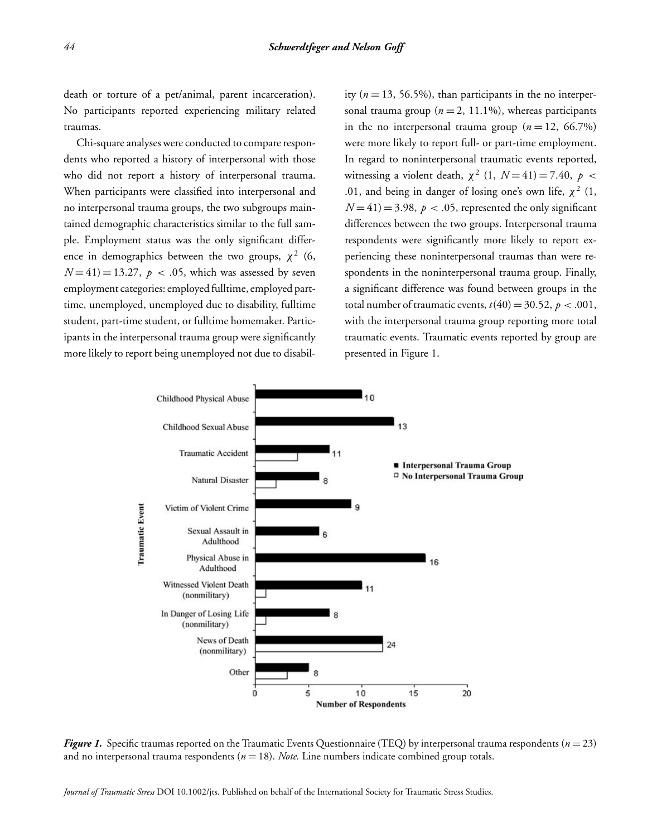death or torture of a pet/animal, parent incarceration). No participants reported experiencing military related traumas.

Chi-square analyses were conducted to compare respondents who reported a history of interpersonal with those who did not report a history of interpersonal trauma. When participants were classified into interpersonal and no interpersonal trauma groups, the two subgroups maintained demographic characteristics similar to the full sample. Employment status was the only significant difference in demographics between the two groups,  $\chi^2$  (6,  $N = 41$ ) = 13.27,  $p < .05$ , which was assessed by seven employment categories: employed fulltime, employed parttime, unemployed, unemployed due to disability, fulltime student, part-time student, or fulltime homemaker. Participants in the interpersonal trauma group were significantly more likely to report being unemployed not due to disability  $(n = 13, 56.5\%)$ , than participants in the no interpersonal trauma group  $(n=2, 11.1\%)$ , whereas participants in the no interpersonal trauma group  $(n = 12, 66.7\%)$ were more likely to report full- or part-time employment. In regard to noninterpersonal traumatic events reported, witnessing a violent death,  $\chi^2$  (1,  $N=41$ ) = 7.40,  $p <$ .01, and being in danger of losing one's own life,  $\chi^2$  (1,  $N = 41$ ) = 3.98,  $p < .05$ , represented the only significant differences between the two groups. Interpersonal trauma respondents were significantly more likely to report experiencing these noninterpersonal traumas than were respondents in the noninterpersonal trauma group. Finally, a significant difference was found between groups in the total number of traumatic events,  $t(40) = 30.52$ ,  $p < .001$ , with the interpersonal trauma group reporting more total traumatic events. Traumatic events reported by group are presented in Figure 1.



*Figure 1.* Specific traumas reported on the Traumatic Events Questionnaire (TEQ) by interpersonal trauma respondents ( $n = 23$ ) and no interpersonal trauma respondents ( $n = 18$ ). *Note*. Line numbers indicate combined group totals.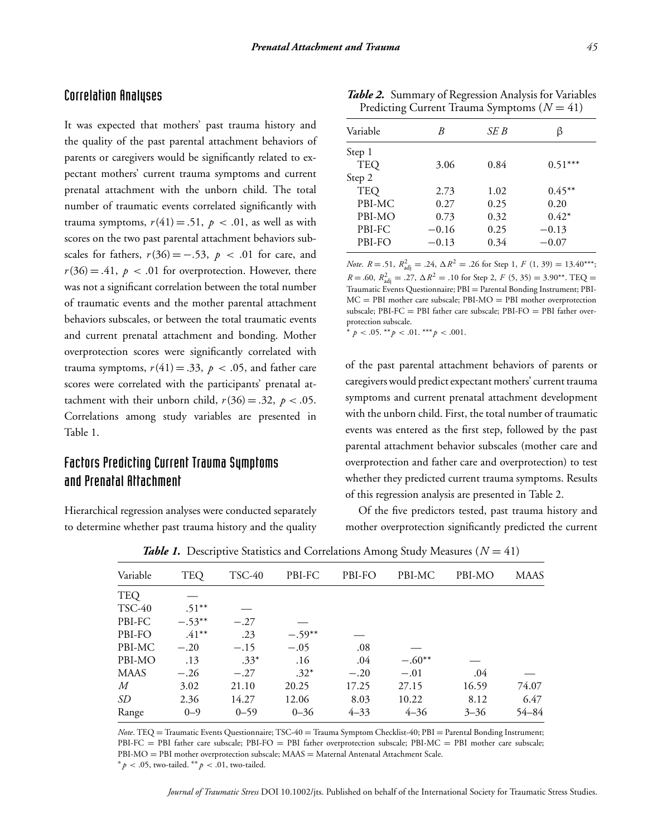#### Correlation Analyses

It was expected that mothers' past trauma history and the quality of the past parental attachment behaviors of parents or caregivers would be significantly related to expectant mothers' current trauma symptoms and current prenatal attachment with the unborn child. The total number of traumatic events correlated significantly with trauma symptoms,  $r(41) = .51$ ,  $p < .01$ , as well as with scores on the two past parental attachment behaviors subscales for fathers,  $r(36) = -.53$ ,  $p < .01$  for care, and  $r(36) = .41$ ,  $p < .01$  for overprotection. However, there was not a significant correlation between the total number of traumatic events and the mother parental attachment behaviors subscales, or between the total traumatic events and current prenatal attachment and bonding. Mother overprotection scores were significantly correlated with trauma symptoms,  $r(41) = .33$ ,  $p < .05$ , and father care scores were correlated with the participants' prenatal attachment with their unborn child,  $r(36) = .32$ ,  $p < .05$ . Correlations among study variables are presented in Table 1.

# Factors Predicting Current Trauma Symptoms and Prenatal Attachment

Hierarchical regression analyses were conducted separately to determine whether past trauma history and the quality

*Table 2.* Summary of Regression Analysis for Variables Predicting Current Trauma Symptoms (*N* = 41)

| Variable   | B       | SE B | ß         |
|------------|---------|------|-----------|
| Step 1     |         |      |           |
| <b>TEQ</b> | 3.06    | 0.84 | $0.51***$ |
| Step 2     |         |      |           |
| <b>TEQ</b> | 2.73    | 1.02 | $0.45***$ |
| PBI-MC     | 0.27    | 0.25 | 0.20      |
| PBI-MO     | 0.73    | 0.32 | $0.42*$   |
| PBI-FC     | $-0.16$ | 0.25 | $-0.13$   |
| PBI-FO     | $-0.13$ | 0.34 | $-0.07$   |
|            |         |      |           |

*Note*.  $R = .51$ ,  $R_{\text{adj}}^2 = .24$ ,  $\Delta R^2 = .26$  for Step 1,  $F(1, 39) = 13.40***;$  $R = .60$ ,  $R_{\text{adj}}^2 = .27$ ,  $\Delta R^2 = .10$  for Step 2,  $F (5, 35) = 3.90^{**}$ . TEQ = Traumatic Events Questionnaire; PBI = Parental Bonding Instrument; PBI-MC = PBI mother care subscale; PBI-MO = PBI mother overprotection subscale; PBI-FC = PBI father care subscale; PBI-FO = PBI father overprotection subscale.

 $p < .05.$  \*\*  $p < .01.$  \*\*\*  $p < .001$ .

of the past parental attachment behaviors of parents or caregivers would predict expectant mothers' current trauma symptoms and current prenatal attachment development with the unborn child. First, the total number of traumatic events was entered as the first step, followed by the past parental attachment behavior subscales (mother care and overprotection and father care and overprotection) to test whether they predicted current trauma symptoms. Results of this regression analysis are presented in Table 2.

Of the five predictors tested, past trauma history and mother overprotection significantly predicted the current

| Variable | TEQ      | <b>TSC-40</b> | PBI-FC   | PBI-FO   | PBI-MC   | PBI-MO   | MAAS  |
|----------|----------|---------------|----------|----------|----------|----------|-------|
| TEQ      |          |               |          |          |          |          |       |
| TSC-40   | $.51***$ |               |          |          |          |          |       |
| PBI-FC   | $-.53**$ | $-.27$        |          |          |          |          |       |
| PBI-FO   | $.41***$ | .23           | $-.59**$ |          |          |          |       |
| PBI-MC   | $-.20$   | $-.15$        | $-.05$   | .08      |          |          |       |
| PBI-MO   | .13      | $.33*$        | .16      | .04      | $-.60**$ |          |       |
| MAAS     | $-.26$   | $-.27$        | $.32*$   | $-.20$   | $-.01$   | .04      |       |
| M        | 3.02     | 21.10         | 20.25    | 17.25    | 27.15    | 16.59    | 74.07 |
| SD       | 2.36     | 14.27         | 12.06    | 8.03     | 10.22    | 8.12     | 6.47  |
| Range    | $0 - 9$  | $0 - 59$      | $0 - 36$ | $4 - 33$ | $4 - 36$ | $3 - 36$ | 54–84 |

*Table 1.* Descriptive Statistics and Correlations Among Study Measures (*N* = 41)

*Note*. TEQ = Traumatic Events Questionnaire; TSC-40 = Trauma Symptom Checklist-40; PBI = Parental Bonding Instrument; PBI-FC = PBI father care subscale; PBI-FO = PBI father overprotection subscale; PBI-MC = PBI mother care subscale; PBI-MO = PBI mother overprotection subscale; MAAS = Maternal Antenatal Attachment Scale. ∗ *p* < .05, two-tailed. ∗∗ *p* < .01, two-tailed.

*Journal of Traumatic Stress* DOI 10.1002/jts. Published on behalf of the International Society for Traumatic Stress Studies.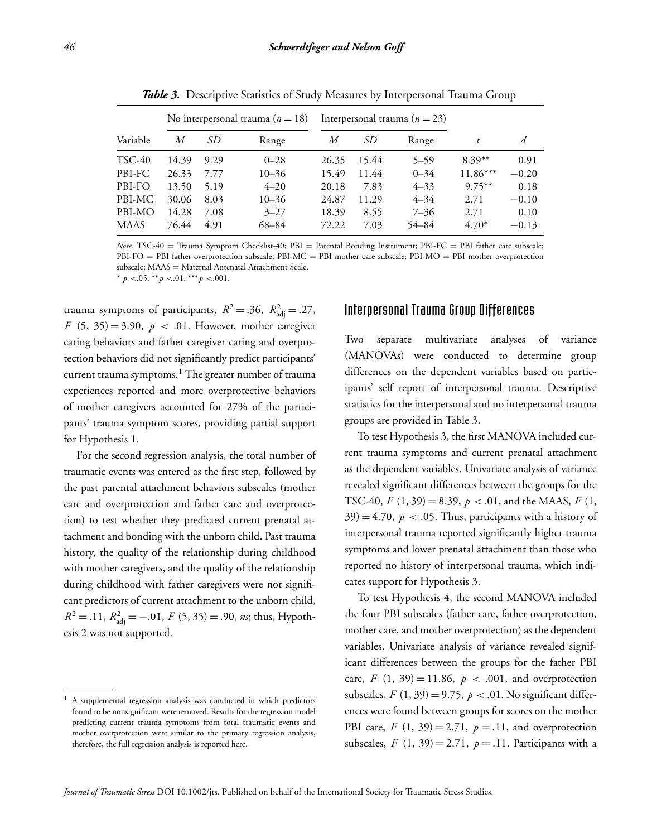| ۰.                |
|-------------------|
|                   |
| I<br>۰.<br>×<br>v |

|               | No interpersonal trauma ( $n = 18$ ) |      |           | Interpersonal trauma ( $n = 23$ ) |       |          |            |         |
|---------------|--------------------------------------|------|-----------|-----------------------------------|-------|----------|------------|---------|
| Variable      | М                                    | SD   | Range     | М                                 | SD    | Range    | t          | d       |
| <b>TSC-40</b> | 14.39                                | 9.29 | $0 - 28$  | 26.35                             | 15.44 | $5 - 59$ | $8.39**$   | 0.91    |
| PBI-FC        | 26.33                                | 7.77 | $10 - 36$ | 15.49                             | 11.44 | $0 - 34$ | $11.86***$ | $-0.20$ |
| PBI-FO        | 13.50                                | 5.19 | $4 - 20$  | 20.18                             | 7.83  | $4 - 33$ | $9.75***$  | 0.18    |
| PBI-MC        | 30.06                                | 8.03 | $10 - 36$ | 24.87                             | 11.29 | $4 - 34$ | 2.71       | $-0.10$ |
| PBI-MO        | 14.28                                | 7.08 | $3 - 27$  | 18.39                             | 8.55  | $7 - 36$ | 2.71       | 0.10    |
| <b>MAAS</b>   | 76.44                                | 4.91 | 68–84     | 72.22                             | 7.03  | 54–84    | $4.70*$    | $-0.13$ |

*Table 3.* Descriptive Statistics of Study Measures by Interpersonal Trauma Group

*Note*. TSC-40 = Trauma Symptom Checklist-40; PBI = Parental Bonding Instrument; PBI-FC = PBI father care subscale; PBI-FO = PBI father overprotection subscale; PBI-MC = PBI mother care subscale; PBI-MO = PBI mother overprotection subscale; MAAS = Maternal Antenatal Attachment Scale.

 $*$   $p$  <.05.  $*$ <sup>\*</sup> $p$ </sup> <.01.  $*$ <sup>\*</sup> $p$ </sup> <.001.

trauma symptoms of participants,  $R^2 = .36$ ,  $R^2_{\text{adj}} = .27$ , *F*  $(5, 35) = 3.90, p < .01$ . However, mother caregiver caring behaviors and father caregiver caring and overprotection behaviors did not significantly predict participants' current trauma symptoms.<sup>1</sup> The greater number of trauma experiences reported and more overprotective behaviors of mother caregivers accounted for 27% of the participants' trauma symptom scores, providing partial support for Hypothesis 1.

For the second regression analysis, the total number of traumatic events was entered as the first step, followed by the past parental attachment behaviors subscales (mother care and overprotection and father care and overprotection) to test whether they predicted current prenatal attachment and bonding with the unborn child. Past trauma history, the quality of the relationship during childhood with mother caregivers, and the quality of the relationship during childhood with father caregivers were not significant predictors of current attachment to the unborn child,  $R^2 = .11$ ,  $R^2_{\text{adj}} = -.01$ ,  $F (5, 35) = .90$ , *ns*; thus, Hypothesis 2 was not supported.

#### Interpersonal Trauma Group Differences

Two separate multivariate analyses of variance (MANOVAs) were conducted to determine group differences on the dependent variables based on participants' self report of interpersonal trauma. Descriptive statistics for the interpersonal and no interpersonal trauma groups are provided in Table 3.

To test Hypothesis 3, the first MANOVA included current trauma symptoms and current prenatal attachment as the dependent variables. Univariate analysis of variance revealed significant differences between the groups for the TSC-40,  $F(1, 39) = 8.39$ ,  $p < .01$ , and the MAAS,  $F(1, 19)$  $39$ ) = 4.70,  $p < .05$ . Thus, participants with a history of interpersonal trauma reported significantly higher trauma symptoms and lower prenatal attachment than those who reported no history of interpersonal trauma, which indicates support for Hypothesis 3.

To test Hypothesis 4, the second MANOVA included the four PBI subscales (father care, father overprotection, mother care, and mother overprotection) as the dependent variables. Univariate analysis of variance revealed significant differences between the groups for the father PBI care, *F* (1, 39) = 11.86,  $p < .001$ , and overprotection subscales,  $F(1, 39) = 9.75$ ,  $p < 0.01$ . No significant differences were found between groups for scores on the mother PBI care,  $F(1, 39) = 2.71$ ,  $p = .11$ , and overprotection subscales,  $F(1, 39) = 2.71$ ,  $p = .11$ . Participants with a

<sup>1</sup> A supplemental regression analysis was conducted in which predictors found to be nonsignificant were removed. Results for the regression model predicting current trauma symptoms from total traumatic events and mother overprotection were similar to the primary regression analysis, therefore, the full regression analysis is reported here.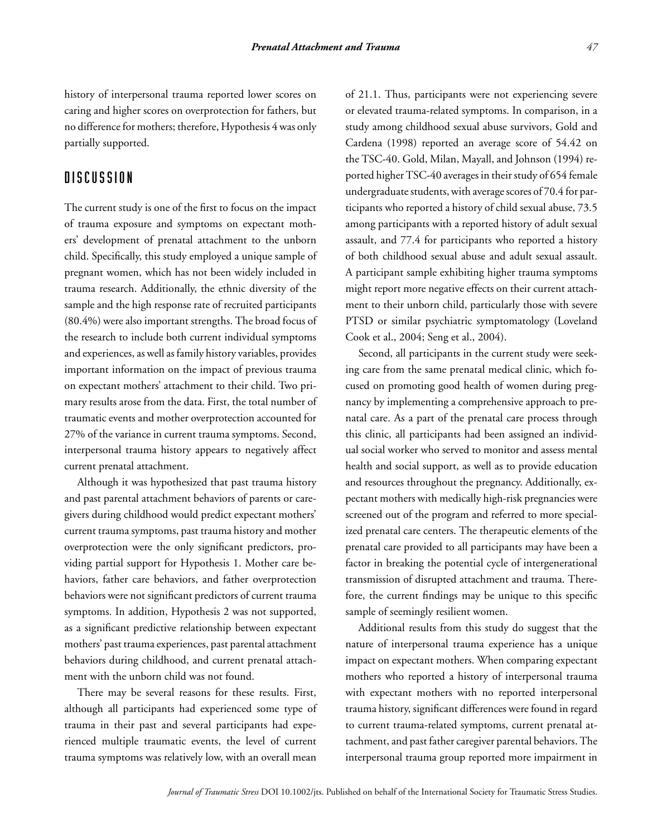history of interpersonal trauma reported lower scores on caring and higher scores on overprotection for fathers, but no difference for mothers; therefore, Hypothesis 4 was only partially supported.

## DISCUSSION

The current study is one of the first to focus on the impact of trauma exposure and symptoms on expectant mothers' development of prenatal attachment to the unborn child. Specifically, this study employed a unique sample of pregnant women, which has not been widely included in trauma research. Additionally, the ethnic diversity of the sample and the high response rate of recruited participants (80.4%) were also important strengths. The broad focus of the research to include both current individual symptoms and experiences, as well as family history variables, provides important information on the impact of previous trauma on expectant mothers' attachment to their child. Two primary results arose from the data. First, the total number of traumatic events and mother overprotection accounted for 27% of the variance in current trauma symptoms. Second, interpersonal trauma history appears to negatively affect current prenatal attachment.

Although it was hypothesized that past trauma history and past parental attachment behaviors of parents or caregivers during childhood would predict expectant mothers' current trauma symptoms, past trauma history and mother overprotection were the only significant predictors, providing partial support for Hypothesis 1. Mother care behaviors, father care behaviors, and father overprotection behaviors were not significant predictors of current trauma symptoms. In addition, Hypothesis 2 was not supported, as a significant predictive relationship between expectant mothers' past trauma experiences, past parental attachment behaviors during childhood, and current prenatal attachment with the unborn child was not found.

There may be several reasons for these results. First, although all participants had experienced some type of trauma in their past and several participants had experienced multiple traumatic events, the level of current trauma symptoms was relatively low, with an overall mean

of 21.1. Thus, participants were not experiencing severe or elevated trauma-related symptoms. In comparison, in a study among childhood sexual abuse survivors, Gold and Cardena (1998) reported an average score of 54.42 on the TSC-40. Gold, Milan, Mayall, and Johnson (1994) reported higher TSC-40 averages in their study of 654 female undergraduate students, with average scores of 70.4 for participants who reported a history of child sexual abuse, 73.5 among participants with a reported history of adult sexual assault, and 77.4 for participants who reported a history of both childhood sexual abuse and adult sexual assault. A participant sample exhibiting higher trauma symptoms might report more negative effects on their current attachment to their unborn child, particularly those with severe PTSD or similar psychiatric symptomatology (Loveland Cook et al., 2004; Seng et al., 2004).

Second, all participants in the current study were seeking care from the same prenatal medical clinic, which focused on promoting good health of women during pregnancy by implementing a comprehensive approach to prenatal care. As a part of the prenatal care process through this clinic, all participants had been assigned an individual social worker who served to monitor and assess mental health and social support, as well as to provide education and resources throughout the pregnancy. Additionally, expectant mothers with medically high-risk pregnancies were screened out of the program and referred to more specialized prenatal care centers. The therapeutic elements of the prenatal care provided to all participants may have been a factor in breaking the potential cycle of intergenerational transmission of disrupted attachment and trauma. Therefore, the current findings may be unique to this specific sample of seemingly resilient women.

Additional results from this study do suggest that the nature of interpersonal trauma experience has a unique impact on expectant mothers. When comparing expectant mothers who reported a history of interpersonal trauma with expectant mothers with no reported interpersonal trauma history, significant differences were found in regard to current trauma-related symptoms, current prenatal attachment, and past father caregiver parental behaviors. The interpersonal trauma group reported more impairment in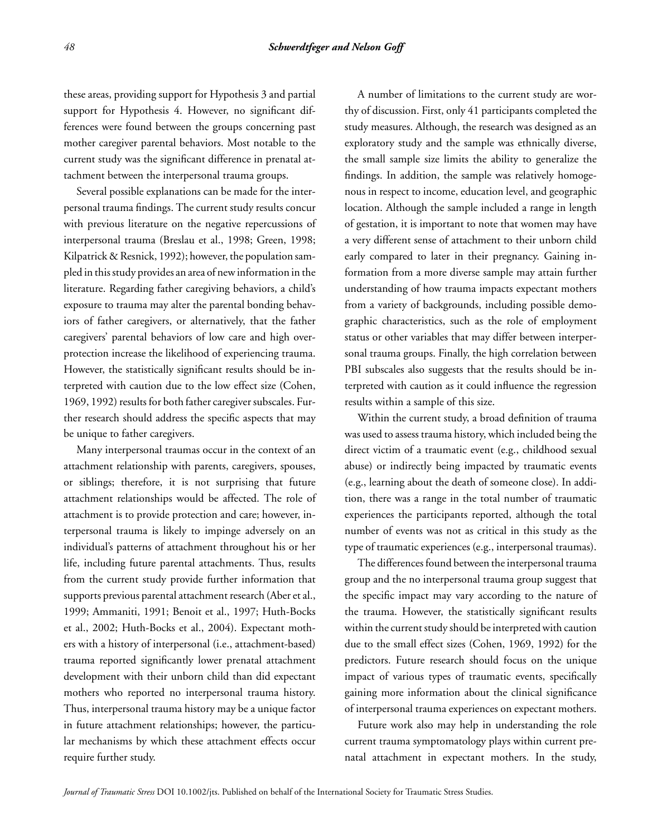these areas, providing support for Hypothesis 3 and partial support for Hypothesis 4. However, no significant differences were found between the groups concerning past mother caregiver parental behaviors. Most notable to the current study was the significant difference in prenatal attachment between the interpersonal trauma groups.

Several possible explanations can be made for the interpersonal trauma findings. The current study results concur with previous literature on the negative repercussions of interpersonal trauma (Breslau et al., 1998; Green, 1998; Kilpatrick & Resnick, 1992); however, the population sampled in this study provides an area of new information in the literature. Regarding father caregiving behaviors, a child's exposure to trauma may alter the parental bonding behaviors of father caregivers, or alternatively, that the father caregivers' parental behaviors of low care and high overprotection increase the likelihood of experiencing trauma. However, the statistically significant results should be interpreted with caution due to the low effect size (Cohen, 1969, 1992) results for both father caregiver subscales. Further research should address the specific aspects that may be unique to father caregivers.

Many interpersonal traumas occur in the context of an attachment relationship with parents, caregivers, spouses, or siblings; therefore, it is not surprising that future attachment relationships would be affected. The role of attachment is to provide protection and care; however, interpersonal trauma is likely to impinge adversely on an individual's patterns of attachment throughout his or her life, including future parental attachments. Thus, results from the current study provide further information that supports previous parental attachment research (Aber et al., 1999; Ammaniti, 1991; Benoit et al., 1997; Huth-Bocks et al., 2002; Huth-Bocks et al., 2004). Expectant mothers with a history of interpersonal (i.e., attachment-based) trauma reported significantly lower prenatal attachment development with their unborn child than did expectant mothers who reported no interpersonal trauma history. Thus, interpersonal trauma history may be a unique factor in future attachment relationships; however, the particular mechanisms by which these attachment effects occur require further study.

A number of limitations to the current study are worthy of discussion. First, only 41 participants completed the study measures. Although, the research was designed as an exploratory study and the sample was ethnically diverse, the small sample size limits the ability to generalize the findings. In addition, the sample was relatively homogenous in respect to income, education level, and geographic location. Although the sample included a range in length of gestation, it is important to note that women may have a very different sense of attachment to their unborn child early compared to later in their pregnancy. Gaining information from a more diverse sample may attain further understanding of how trauma impacts expectant mothers from a variety of backgrounds, including possible demographic characteristics, such as the role of employment status or other variables that may differ between interpersonal trauma groups. Finally, the high correlation between PBI subscales also suggests that the results should be interpreted with caution as it could influence the regression results within a sample of this size.

Within the current study, a broad definition of trauma was used to assess trauma history, which included being the direct victim of a traumatic event (e.g., childhood sexual abuse) or indirectly being impacted by traumatic events (e.g., learning about the death of someone close). In addition, there was a range in the total number of traumatic experiences the participants reported, although the total number of events was not as critical in this study as the type of traumatic experiences (e.g., interpersonal traumas).

The differences found between the interpersonal trauma group and the no interpersonal trauma group suggest that the specific impact may vary according to the nature of the trauma. However, the statistically significant results within the current study should be interpreted with caution due to the small effect sizes (Cohen, 1969, 1992) for the predictors. Future research should focus on the unique impact of various types of traumatic events, specifically gaining more information about the clinical significance of interpersonal trauma experiences on expectant mothers.

Future work also may help in understanding the role current trauma symptomatology plays within current prenatal attachment in expectant mothers. In the study,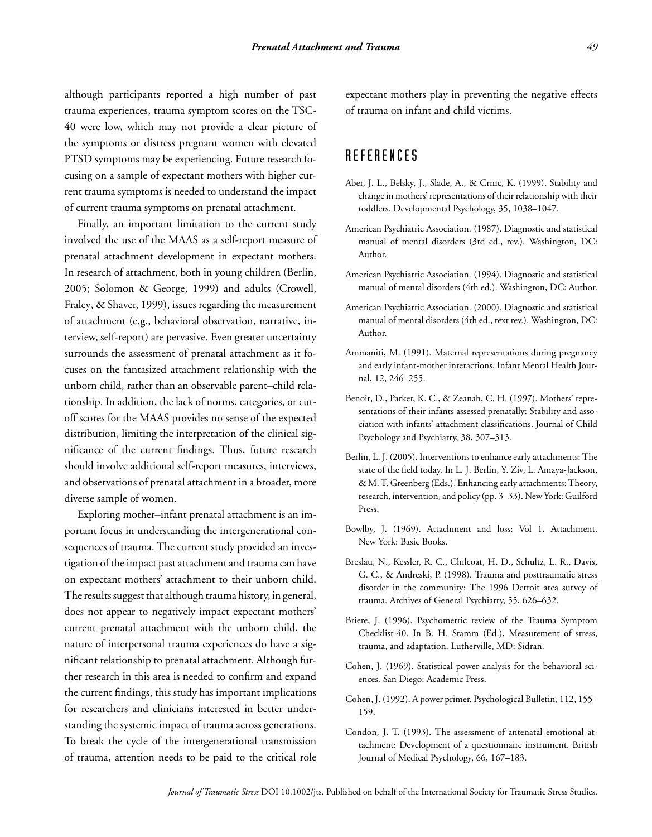although participants reported a high number of past trauma experiences, trauma symptom scores on the TSC-40 were low, which may not provide a clear picture of the symptoms or distress pregnant women with elevated PTSD symptoms may be experiencing. Future research focusing on a sample of expectant mothers with higher current trauma symptoms is needed to understand the impact of current trauma symptoms on prenatal attachment.

Finally, an important limitation to the current study involved the use of the MAAS as a self-report measure of prenatal attachment development in expectant mothers. In research of attachment, both in young children (Berlin, 2005; Solomon & George, 1999) and adults (Crowell, Fraley, & Shaver, 1999), issues regarding the measurement of attachment (e.g., behavioral observation, narrative, interview, self-report) are pervasive. Even greater uncertainty surrounds the assessment of prenatal attachment as it focuses on the fantasized attachment relationship with the unborn child, rather than an observable parent–child relationship. In addition, the lack of norms, categories, or cutoff scores for the MAAS provides no sense of the expected distribution, limiting the interpretation of the clinical significance of the current findings. Thus, future research should involve additional self-report measures, interviews, and observations of prenatal attachment in a broader, more diverse sample of women.

Exploring mother–infant prenatal attachment is an important focus in understanding the intergenerational consequences of trauma. The current study provided an investigation of the impact past attachment and trauma can have on expectant mothers' attachment to their unborn child. The results suggest that although trauma history, in general, does not appear to negatively impact expectant mothers' current prenatal attachment with the unborn child, the nature of interpersonal trauma experiences do have a significant relationship to prenatal attachment. Although further research in this area is needed to confirm and expand the current findings, this study has important implications for researchers and clinicians interested in better understanding the systemic impact of trauma across generations. To break the cycle of the intergenerational transmission of trauma, attention needs to be paid to the critical role expectant mothers play in preventing the negative effects of trauma on infant and child victims.

## REFERENCES

- Aber, J. L., Belsky, J., Slade, A., & Crnic, K. (1999). Stability and change in mothers' representations of their relationship with their toddlers. Developmental Psychology, 35, 1038–1047.
- American Psychiatric Association. (1987). Diagnostic and statistical manual of mental disorders (3rd ed., rev.). Washington, DC: Author.
- American Psychiatric Association. (1994). Diagnostic and statistical manual of mental disorders (4th ed.). Washington, DC: Author.
- American Psychiatric Association. (2000). Diagnostic and statistical manual of mental disorders (4th ed., text rev.). Washington, DC: Author.
- Ammaniti, M. (1991). Maternal representations during pregnancy and early infant-mother interactions. Infant Mental Health Journal, 12, 246–255.
- Benoit, D., Parker, K. C., & Zeanah, C. H. (1997). Mothers' representations of their infants assessed prenatally: Stability and association with infants' attachment classifications. Journal of Child Psychology and Psychiatry, 38, 307–313.
- Berlin, L. J. (2005). Interventions to enhance early attachments: The state of the field today. In L. J. Berlin, Y. Ziv, L. Amaya-Jackson, & M. T. Greenberg (Eds.), Enhancing early attachments: Theory, research, intervention, and policy (pp. 3–33). New York: Guilford Press.
- Bowlby, J. (1969). Attachment and loss: Vol 1. Attachment. New York: Basic Books.
- Breslau, N., Kessler, R. C., Chilcoat, H. D., Schultz, L. R., Davis, G. C., & Andreski, P. (1998). Trauma and posttraumatic stress disorder in the community: The 1996 Detroit area survey of trauma. Archives of General Psychiatry, 55, 626–632.
- Briere, J. (1996). Psychometric review of the Trauma Symptom Checklist-40. In B. H. Stamm (Ed.), Measurement of stress, trauma, and adaptation. Lutherville, MD: Sidran.
- Cohen, J. (1969). Statistical power analysis for the behavioral sciences. San Diego: Academic Press.
- Cohen, J. (1992). A power primer. Psychological Bulletin, 112, 155– 159.
- Condon, J. T. (1993). The assessment of antenatal emotional attachment: Development of a questionnaire instrument. British Journal of Medical Psychology, 66, 167–183.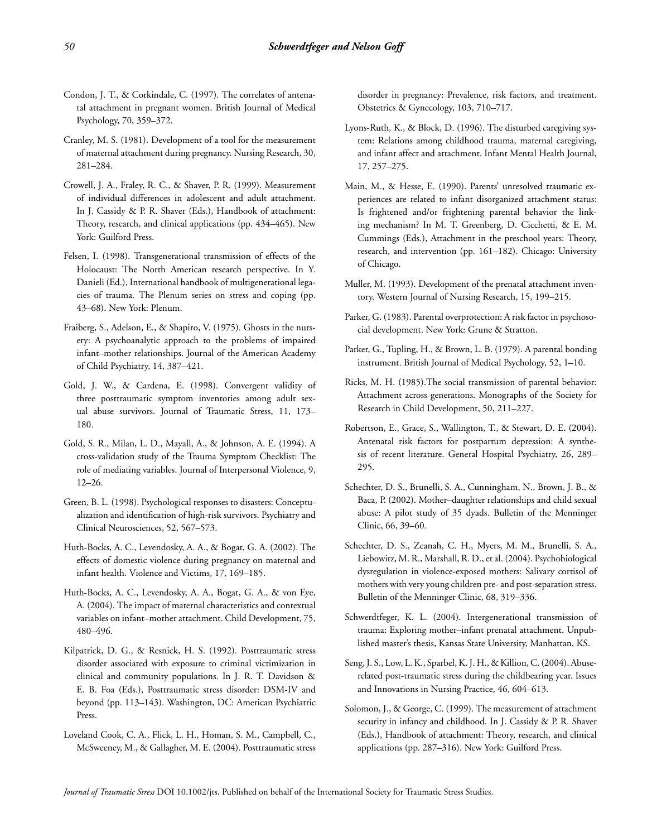- Condon, J. T., & Corkindale, C. (1997). The correlates of antenatal attachment in pregnant women. British Journal of Medical Psychology, 70, 359–372.
- Cranley, M. S. (1981). Development of a tool for the measurement of maternal attachment during pregnancy. Nursing Research, 30, 281–284.
- Crowell, J. A., Fraley, R. C., & Shaver, P. R. (1999). Measurement of individual differences in adolescent and adult attachment. In J. Cassidy & P. R. Shaver (Eds.), Handbook of attachment: Theory, research, and clinical applications (pp. 434–465). New York: Guilford Press.
- Felsen, I. (1998). Transgenerational transmission of effects of the Holocaust: The North American research perspective. In Y. Danieli (Ed.), International handbook of multigenerational legacies of trauma. The Plenum series on stress and coping (pp. 43–68). New York: Plenum.
- Fraiberg, S., Adelson, E., & Shapiro, V. (1975). Ghosts in the nursery: A psychoanalytic approach to the problems of impaired infant–mother relationships. Journal of the American Academy of Child Psychiatry, 14, 387–421.
- Gold, J. W., & Cardena, E. (1998). Convergent validity of three posttraumatic symptom inventories among adult sexual abuse survivors. Journal of Traumatic Stress, 11, 173– 180.
- Gold, S. R., Milan, L. D., Mayall, A., & Johnson, A. E. (1994). A cross-validation study of the Trauma Symptom Checklist: The role of mediating variables. Journal of Interpersonal Violence, 9, 12–26.
- Green, B. L. (1998). Psychological responses to disasters: Conceptualization and identification of high-risk survivors. Psychiatry and Clinical Neurosciences, 52, 567–573.
- Huth-Bocks, A. C., Levendosky, A. A., & Bogat, G. A. (2002). The effects of domestic violence during pregnancy on maternal and infant health. Violence and Victims, 17, 169–185.
- Huth-Bocks, A. C., Levendosky, A. A., Bogat, G. A., & von Eye, A. (2004). The impact of maternal characteristics and contextual variables on infant–mother attachment. Child Development, 75, 480–496.
- Kilpatrick, D. G., & Resnick, H. S. (1992). Posttraumatic stress disorder associated with exposure to criminal victimization in clinical and community populations. In J. R. T. Davidson & E. B. Foa (Eds.), Posttraumatic stress disorder: DSM-IV and beyond (pp. 113–143). Washington, DC: American Psychiatric Press.
- Loveland Cook, C. A., Flick, L. H., Homan, S. M., Campbell, C., McSweeney, M., & Gallagher, M. E. (2004). Posttraumatic stress

disorder in pregnancy: Prevalence, risk factors, and treatment. Obstetrics & Gynecology, 103, 710–717.

- Lyons-Ruth, K., & Block, D. (1996). The disturbed caregiving system: Relations among childhood trauma, maternal caregiving, and infant affect and attachment. Infant Mental Health Journal, 17, 257–275.
- Main, M., & Hesse, E. (1990). Parents' unresolved traumatic experiences are related to infant disorganized attachment status: Is frightened and/or frightening parental behavior the linking mechanism? In M. T. Greenberg, D. Cicchetti, & E. M. Cummings (Eds.), Attachment in the preschool years: Theory, research, and intervention (pp. 161–182). Chicago: University of Chicago.
- Muller, M. (1993). Development of the prenatal attachment inventory. Western Journal of Nursing Research, 15, 199–215.
- Parker, G. (1983). Parental overprotection: A risk factor in psychosocial development. New York: Grune & Stratton.
- Parker, G., Tupling, H., & Brown, L. B. (1979). A parental bonding instrument. British Journal of Medical Psychology, 52, 1–10.
- Ricks, M. H. (1985).The social transmission of parental behavior: Attachment across generations. Monographs of the Society for Research in Child Development, 50, 211–227.
- Robertson, E., Grace, S., Wallington, T., & Stewart, D. E. (2004). Antenatal risk factors for postpartum depression: A synthesis of recent literature. General Hospital Psychiatry, 26, 289– 295.
- Schechter, D. S., Brunelli, S. A., Cunningham, N., Brown, J. B., & Baca, P. (2002). Mother–daughter relationships and child sexual abuse: A pilot study of 35 dyads. Bulletin of the Menninger Clinic, 66, 39–60.
- Schechter, D. S., Zeanah, C. H., Myers, M. M., Brunelli, S. A., Liebowitz, M. R., Marshall, R. D., et al. (2004). Psychobiological dysregulation in violence-exposed mothers: Salivary cortisol of mothers with very young children pre- and post-separation stress. Bulletin of the Menninger Clinic, 68, 319–336.
- Schwerdtfeger, K. L. (2004). Intergenerational transmission of trauma: Exploring mother–infant prenatal attachment. Unpublished master's thesis, Kansas State University, Manhattan, KS.
- Seng, J. S., Low, L. K., Sparbel, K. J. H., & Killion, C. (2004). Abuserelated post-traumatic stress during the childbearing year. Issues and Innovations in Nursing Practice, 46, 604–613.
- Solomon, J., & George, C. (1999). The measurement of attachment security in infancy and childhood. In J. Cassidy & P. R. Shaver (Eds.), Handbook of attachment: Theory, research, and clinical applications (pp. 287–316). New York: Guilford Press.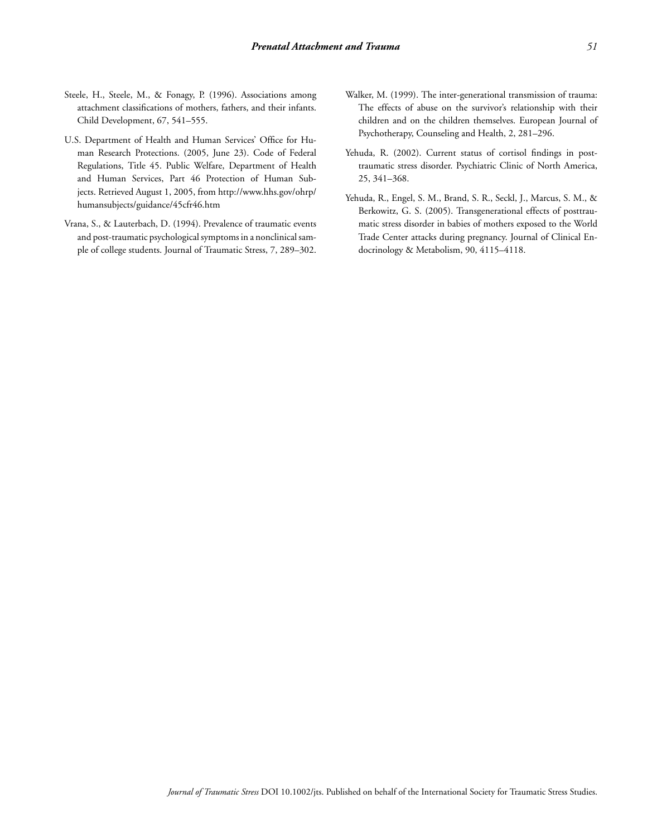- Steele, H., Steele, M., & Fonagy, P. (1996). Associations among attachment classifications of mothers, fathers, and their infants. Child Development, 67, 541–555.
- U.S. Department of Health and Human Services' Office for Human Research Protections. (2005, June 23). Code of Federal Regulations, Title 45. Public Welfare, Department of Health and Human Services, Part 46 Protection of Human Subjects. Retrieved August 1, 2005, from http://www.hhs.gov/ohrp/ humansubjects/guidance/45cfr46.htm
- Vrana, S., & Lauterbach, D. (1994). Prevalence of traumatic events and post-traumatic psychological symptoms in a nonclinical sample of college students. Journal of Traumatic Stress, 7, 289–302.
- Walker, M. (1999). The inter-generational transmission of trauma: The effects of abuse on the survivor's relationship with their children and on the children themselves. European Journal of Psychotherapy, Counseling and Health, 2, 281–296.
- Yehuda, R. (2002). Current status of cortisol findings in posttraumatic stress disorder. Psychiatric Clinic of North America, 25, 341–368.
- Yehuda, R., Engel, S. M., Brand, S. R., Seckl, J., Marcus, S. M., & Berkowitz, G. S. (2005). Transgenerational effects of posttraumatic stress disorder in babies of mothers exposed to the World Trade Center attacks during pregnancy. Journal of Clinical Endocrinology & Metabolism, 90, 4115–4118.